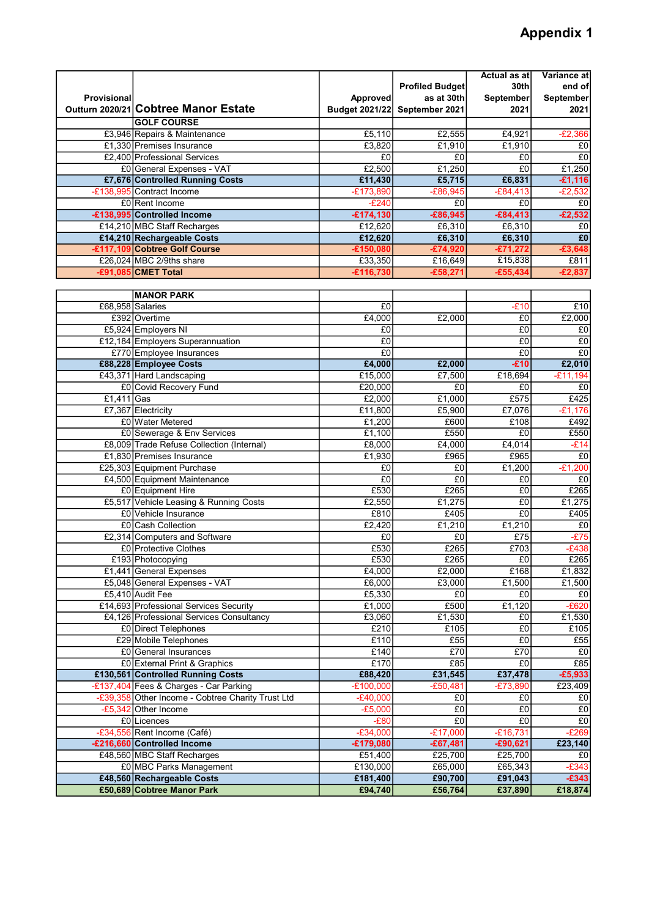## Appendix 1

|                    |                                                   |                | <b>Profiled Budget</b> | Actual as atl<br>30th | Variance atl<br>end of |
|--------------------|---------------------------------------------------|----------------|------------------------|-----------------------|------------------------|
| <b>Provisional</b> |                                                   | Approved       | as at 30th             | September             | September              |
|                    | Outturn 2020/21 Cobtree Manor Estate              | Budget 2021/22 | September 2021         | 2021                  | 2021                   |
|                    | <b>GOLF COURSE</b>                                |                |                        |                       |                        |
|                    | £3,946 Repairs & Maintenance                      | £5,110         | £2,555                 | £4,921                | $-E2,366$              |
|                    | £1,330 Premises Insurance                         | £3,820         | £1,910                 | £1,910                | £0                     |
|                    | £2,400 Professional Services                      | £0             | £0                     | £0                    | $E_0$                  |
|                    | £0 General Expenses - VAT                         | £2,500         | £1,250                 | E <sub>0</sub>        | £1,250                 |
|                    | £7,676 Controlled Running Costs                   | £11,430        | £5,715                 | £6,831                | $-£1,116$              |
|                    | -£138,995 Contract Income                         | $-£173,890$    | $-£86,945$             | $-£84,413$            | $-E2,532$              |
|                    | £0 Rent Income                                    | $-E240$        | £0                     | £0                    | E <sub>0</sub>         |
|                    | -£138,995 Controlled Income                       | $-£174,130$    | $-£86,945$             | $-£84,413$            | $-£2,532$              |
|                    | £14,210 MBC Staff Recharges                       | £12,620        | £6,310                 | £6,310                | £0                     |
|                    | £14,210 Rechargeable Costs                        | £12,620        | £6,310                 | £6,310                | $\overline{f}0$        |
|                    | -£117,109 Cobtree Golf Course                     | $-£150,080$    | $-£74,920$             | $-£71,272$            | $-£3,648$              |
|                    | £26,024 MBC 2/9ths share                          | £33,350        | £16,649                | £15,838               | £811                   |
|                    | -£91,085 CMET Total                               | £116,730       | $-£58,271$             | $-£55,434$            | $-£2,837$              |
|                    |                                                   |                |                        |                       |                        |
|                    | <b>MANOR PARK</b>                                 |                |                        |                       |                        |
|                    | £68.958 Salaries                                  | £0             |                        | $-E10$                | £10                    |
|                    | £392 Overtime                                     | £4,000         | £2,000                 | £0                    | £2,000                 |
|                    | £5,924 Employers NI                               | £0             |                        | £0                    | E <sub>0</sub>         |
|                    | £12,184 Employers Superannuation                  | £0             |                        | £0                    | £0                     |
|                    | £770 Employee Insurances                          | £0             |                        | £0                    | E <sub>0</sub>         |
|                    | £88,228 Employee Costs                            | £4,000         | £2,000                 | $-£10$                | £2,010                 |
|                    | £43,371 Hard Landscaping                          | £15,000        | £7,500                 | £18,694               | $-£11,194$             |
|                    | £0 Covid Recovery Fund                            | £20,000        | £0                     | £0                    | £0                     |
| $£1,411$ Gas       |                                                   | E2,000         | £1,000                 | £575                  | £425                   |
|                    | £7,367 Electricity                                | £11,800        | £5,900                 | £7,076                | $-£1,176$              |
|                    | £0 Water Metered                                  | £1,200         | £600                   | £108                  | £492                   |
|                    | £0 Sewerage & Env Services                        | £1,100         | £550                   | £ <sub>0</sub>        | £550                   |
|                    | £8,009 Trade Refuse Collection (Internal)         | £8,000         | £4,000                 | £4,014                | $-E14$                 |
|                    | £1,830 Premises Insurance                         | £1,930         | £965                   | £965                  | E0                     |
|                    | £25,303 Equipment Purchase                        | £0             | £0                     | £1,200                | $-£1,200$              |
|                    | £4,500 Equipment Maintenance                      | £0             | £0                     | £0                    | £0                     |
|                    | £0 Equipment Hire                                 | £530           | £265                   | £0                    | £265                   |
|                    | £5,517 Vehicle Leasing & Running Costs            | £2.550         | £1,275                 | £0                    | £1,275                 |
|                    | £0 Vehicle Insurance                              | £810           | £405                   | £0                    | £405                   |
|                    | £0 Cash Collection                                | £2,420         | £1,210                 | £1,210                | E <sub>0</sub>         |
|                    | £2,314 Computers and Software                     | £0             | £0                     | £75                   | $-E75$                 |
|                    | £0 Protective Clothes                             | £530           | £265                   | £703                  | $-E438$                |
|                    | £193 Photocopying                                 | £530           | £265                   | £0                    | £265                   |
|                    | £1,441 General Expenses                           | £4,000         | £2,000                 | E168                  | £1,832                 |
|                    | £5,048 General Expenses - VAT                     | £6,000         | £3,000                 | £1,500                | £1,500                 |
|                    | £5,410 Audit Fee                                  | £5,330         | £0                     | £0                    | £0                     |
|                    | £14,693 Professional Services Security            | £1,000         | £500                   | £1,120                | $-E620$                |
|                    | £4,126 Professional Services Consultancy          | £3,060         | £1,530                 | £0                    | £1,530                 |
|                    | £0 Direct Telephones                              | £210           | £105                   | £0                    | £105                   |
|                    | £29 Mobile Telephones                             | £110           | E55                    | £0                    | £55                    |
|                    | £0 General Insurances                             | £140           | £70                    | £70                   | £0                     |
|                    | £0 External Print & Graphics                      | £170           | £85                    | £0                    | £85                    |
|                    | £130,561 Controlled Running Costs                 | £88,420        | £31,545                | £37,478               | $-£5,933$              |
|                    | -£137,404 Fees & Charges - Car Parking            | $-E100,000$    | $-£50,481$             | $-£73,890$            | £23,409                |
|                    | -£39,358 Other Income - Cobtree Charity Trust Ltd | $-E40,000$     | £0                     | £0                    | £0                     |
|                    | -£5,342 Other Income                              | $-E5,000$      | $E_0$                  | $E_0$                 | E <sub>0</sub>         |
|                    | £0 Licences                                       | $-E80$         | $E_0$                  | $\overline{f}0$       | E0                     |
|                    | -£34,556 Rent Income (Café)                       | $-£34,000$     | $-£17,000$             | $-£16,731$            | $-E269$                |
|                    | -£216,660 Controlled Income                       | $-£179,080$    | $-£67,481$             | $-£90,621$            | £23,140                |
|                    | £48,560 MBC Staff Recharges                       | £51,400        | £25,700                | £25,700               | £0                     |
|                    | £0 MBC Parks Management                           | £130,000       | £65,000                | £65,343               | $-E343$                |
|                    | £48,560 Rechargeable Costs                        | £181,400       | £90,700                | £91,043               | $-£343$                |
|                    | £50,689 Cobtree Manor Park                        | £94,740        | £56,764                | £37,890               | £18,874                |